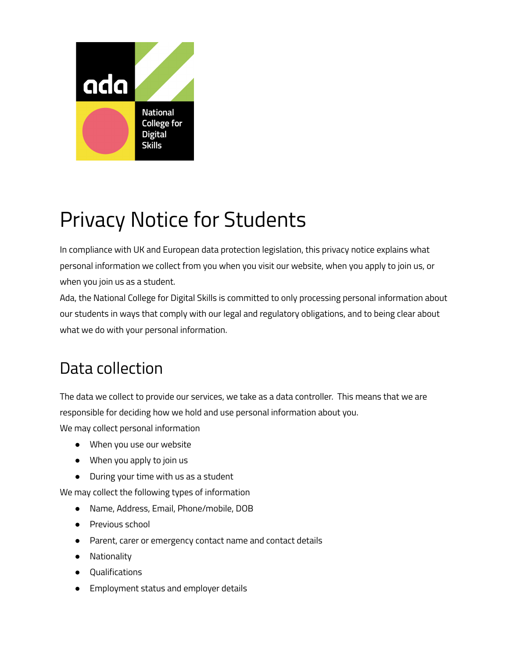

# Privacy Notice for Students

In compliance with UK and European data protection legislation, this privacy notice explains what personal information we collect from you when you visit our website, when you apply to join us, or when you join us as a student.

Ada, the National College for Digital Skills is committed to only processing personal information about our students in ways that comply with our legal and regulatory obligations, and to being clear about what we do with your personal information.

# Data collection

The data we collect to provide our services, we take as a data controller. This means that we are responsible for deciding how we hold and use personal information about you.

We may collect personal information

- When you use our website
- When you apply to join us
- During your time with us as a student

We may collect the following types of information

- Name, Address, Email, Phone/mobile, DOB
- Previous school
- Parent, carer or emergency contact name and contact details
- Nationality
- Qualifications
- Employment status and employer details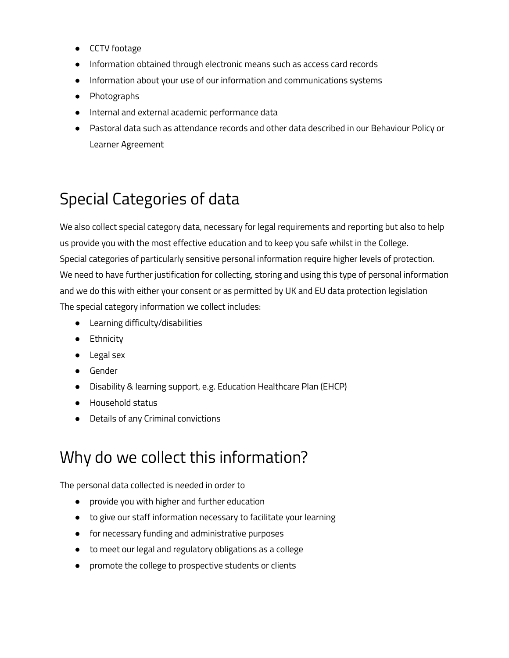- CCTV footage
- Information obtained through electronic means such as access card records
- Information about your use of our information and communications systems
- Photographs
- Internal and external academic performance data
- Pastoral data such as attendance records and other data described in our Behaviour Policy or Learner Agreement

## Special Categories of data

We also collect special category data, necessary for legal requirements and reporting but also to help us provide you with the most effective education and to keep you safe whilst in the College. Special categories of particularly sensitive personal information require higher levels of protection. We need to have further justification for collecting, storing and using this type of personal information and we do this with either your consent or as permitted by UK and EU data protection legislation The special category information we collect includes:

- Learning difficulty/disabilities
- Ethnicity
- Legal sex
- Gender
- Disability & learning support, e.g. Education Healthcare Plan (EHCP)
- Household status
- Details of any Criminal convictions

### Why do we collect this information?

The personal data collected is needed in order to

- provide you with higher and further education
- to give our staff information necessary to facilitate your learning
- for necessary funding and administrative purposes
- to meet our legal and regulatory obligations as a college
- promote the college to prospective students or clients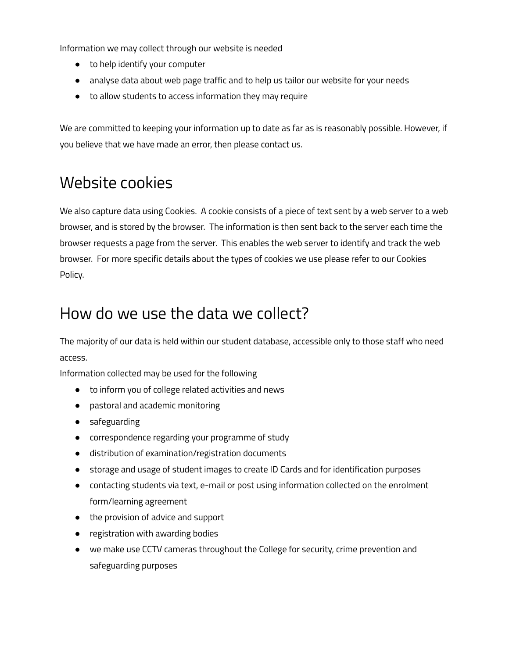Information we may collect through our website is needed

- to help identify your computer
- analyse data about web page traffic and to help us tailor our website for your needs
- to allow students to access information they may require

We are committed to keeping your information up to date as far as is reasonably possible. However, if you believe that we have made an error, then please contact us.

### Website cookies

We also capture data using Cookies. A cookie consists of a piece of text sent by a web server to a web browser, and is stored by the browser. The information is then sent back to the server each time the browser requests a page from the server. This enables the web server to identify and track the web browser. For more specific details about the types of cookies we use please refer to our Cookies Policy.

### How do we use the data we collect?

The majority of our data is held within our student database, accessible only to those staff who need access.

Information collected may be used for the following

- to inform you of college related activities and news
- pastoral and academic monitoring
- safeguarding
- correspondence regarding your programme of study
- distribution of examination/registration documents
- storage and usage of student images to create ID Cards and for identification purposes
- contacting students via text, e-mail or post using information collected on the enrolment form/learning agreement
- the provision of advice and support
- registration with awarding bodies
- we make use CCTV cameras throughout the College for security, crime prevention and safeguarding purposes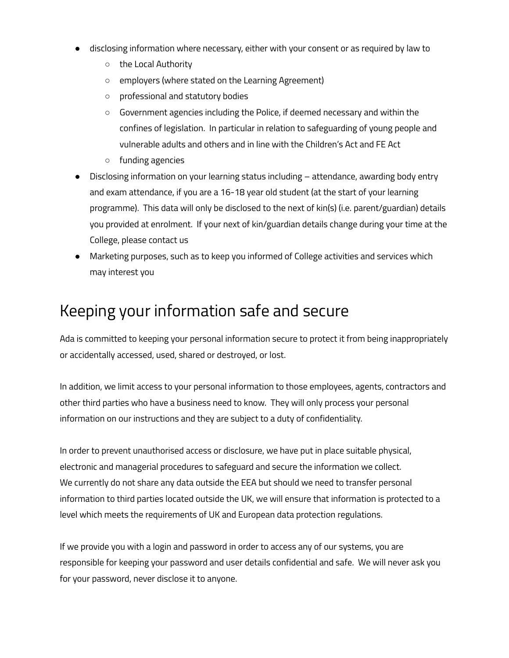- disclosing information where necessary, either with your consent or as required by law to
	- the Local Authority
	- employers (where stated on the Learning Agreement)
	- professional and statutory bodies
	- Government agencies including the Police, if deemed necessary and within the confines of legislation. In particular in relation to safeguarding of young people and vulnerable adults and others and in line with the Children's Act and FE Act
	- funding agencies
- Disclosing information on your learning status including attendance, awarding body entry and exam attendance, if you are a 16-18 year old student (at the start of your learning programme). This data will only be disclosed to the next of kin(s) (i.e. parent/guardian) details you provided at enrolment. If your next of kin/guardian details change during your time at the College, please contact us
- Marketing purposes, such as to keep you informed of College activities and services which may interest you

#### Keeping your information safe and secure

Ada is committed to keeping your personal information secure to protect it from being inappropriately or accidentally accessed, used, shared or destroyed, or lost.

In addition, we limit access to your personal information to those employees, agents, contractors and other third parties who have a business need to know. They will only process your personal information on our instructions and they are subject to a duty of confidentiality.

In order to prevent unauthorised access or disclosure, we have put in place suitable physical, electronic and managerial procedures to safeguard and secure the information we collect. We currently do not share any data outside the EEA but should we need to transfer personal information to third parties located outside the UK, we will ensure that information is protected to a level which meets the requirements of UK and European data protection regulations.

If we provide you with a login and password in order to access any of our systems, you are responsible for keeping your password and user details confidential and safe. We will never ask you for your password, never disclose it to anyone.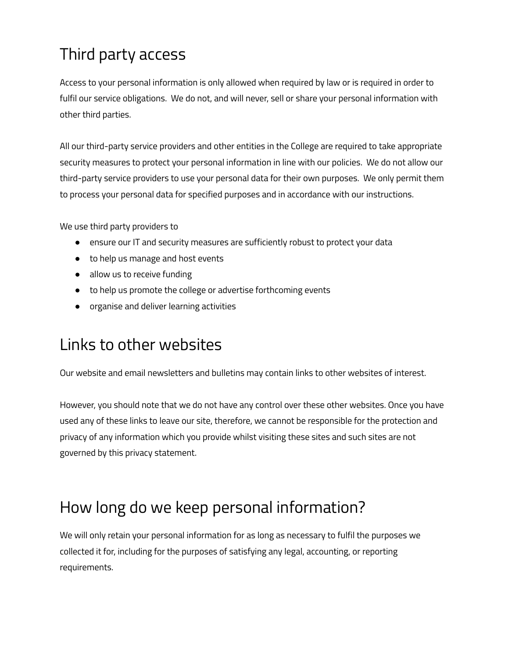# Third party access

Access to your personal information is only allowed when required by law or is required in order to fulfil our service obligations. We do not, and will never, sell or share your personal information with other third parties.

All our third-party service providers and other entities in the College are required to take appropriate security measures to protect your personal information in line with our policies. We do not allow our third-party service providers to use your personal data for their own purposes. We only permit them to process your personal data for specified purposes and in accordance with our instructions.

We use third party providers to

- ensure our IT and security measures are sufficiently robust to protect your data
- to help us manage and host events
- allow us to receive funding
- to help us promote the college or advertise forthcoming events
- organise and deliver learning activities

### Links to other websites

Our website and email newsletters and bulletins may contain links to other websites of interest.

However, you should note that we do not have any control over these other websites. Once you have used any of these links to leave our site, therefore, we cannot be responsible for the protection and privacy of any information which you provide whilst visiting these sites and such sites are not governed by this privacy statement.

### How long do we keep personal information?

We will only retain your personal information for as long as necessary to fulfil the purposes we collected it for, including for the purposes of satisfying any legal, accounting, or reporting requirements.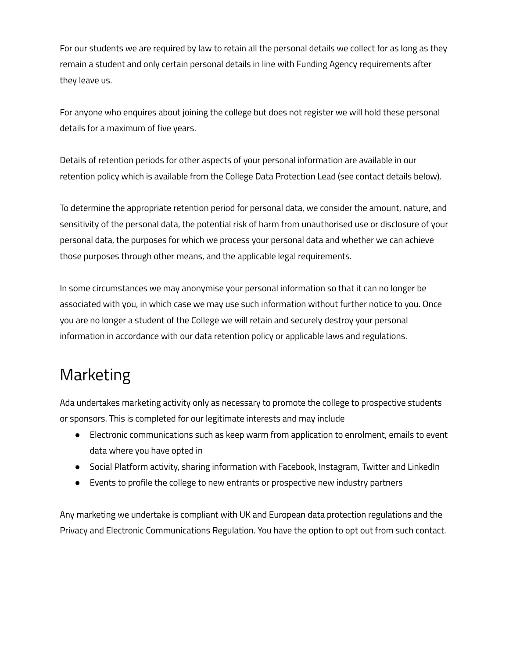For our students we are required by law to retain all the personal details we collect for as long as they remain a student and only certain personal details in line with Funding Agency requirements after they leave us.

For anyone who enquires about joining the college but does not register we will hold these personal details for a maximum of five years.

Details of retention periods for other aspects of your personal information are available in our retention policy which is available from the College Data Protection Lead (see contact details below).

To determine the appropriate retention period for personal data, we consider the amount, nature, and sensitivity of the personal data, the potential risk of harm from unauthorised use or disclosure of your personal data, the purposes for which we process your personal data and whether we can achieve those purposes through other means, and the applicable legal requirements.

In some circumstances we may anonymise your personal information so that it can no longer be associated with you, in which case we may use such information without further notice to you. Once you are no longer a student of the College we will retain and securely destroy your personal information in accordance with our data retention policy or applicable laws and regulations.

# Marketing

Ada undertakes marketing activity only as necessary to promote the college to prospective students or sponsors. This is completed for our legitimate interests and may include

- Electronic communications such as keep warm from application to enrolment, emails to event data where you have opted in
- Social Platform activity, sharing information with Facebook, Instagram, Twitter and LinkedIn
- Events to profile the college to new entrants or prospective new industry partners

Any marketing we undertake is compliant with UK and European data protection regulations and the Privacy and Electronic Communications Regulation. You have the option to opt out from such contact.